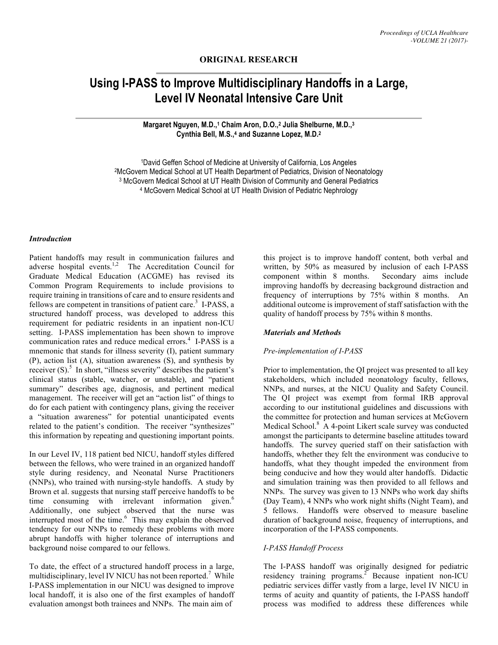## **ORIGINAL RESEARCH**

# **Using I-PASS to Improve Multidisciplinary Handoffs in a Large, Level IV Neonatal Intensive Care Unit**

**Margaret Nguyen, M.D.,1 Chaim Aron, D.O.,2 Julia Shelburne, M.D.,3 Cynthia Bell, M.S.,4 and Suzanne Lopez, M.D.2**

1David Geffen School of Medicine at University of California, Los Angeles 2McGovern Medical School at UT Health Department of Pediatrics, Division of Neonatology <sup>3</sup> McGovern Medical School at UT Health Division of Community and General Pediatrics <sup>4</sup> McGovern Medical School at UT Health Division of Pediatric Nephrology

#### *Introduction*

Patient handoffs may result in communication failures and adverse hospital events.<sup>1,2</sup> The Accreditation Council for Graduate Medical Education (ACGME) has revised its Common Program Requirements to include provisions to require training in transitions of care and to ensure residents and fellows are competent in transitions of patient care.<sup>3</sup> I-PASS, a structured handoff process, was developed to address this requirement for pediatric residents in an inpatient non-ICU setting. I-PASS implementation has been shown to improve communication rates and reduce medical errors.<sup>4</sup> I-PASS is a mnemonic that stands for illness severity (I), patient summary (P), action list (A), situation awareness (S), and synthesis by receiver  $(S)$ .<sup>5</sup> In short, "illness severity" describes the patient's clinical status (stable, watcher, or unstable), and "patient summary" describes age, diagnosis, and pertinent medical management. The receiver will get an "action list" of things to do for each patient with contingency plans, giving the receiver a "situation awareness" for potential unanticipated events related to the patient's condition. The receiver "synthesizes" this information by repeating and questioning important points.

In our Level IV, 118 patient bed NICU, handoff styles differed between the fellows, who were trained in an organized handoff style during residency, and Neonatal Nurse Practitioners (NNPs), who trained with nursing-style handoffs. A study by Brown et al. suggests that nursing staff perceive handoffs to be time consuming with irrelevant information given.<sup>6</sup> Additionally, one subject observed that the nurse was interrupted most of the time. 6 This may explain the observed tendency for our NNPs to remedy these problems with more abrupt handoffs with higher tolerance of interruptions and background noise compared to our fellows.

To date, the effect of a structured handoff process in a large, multidisciplinary, level IV NICU has not been reported.<sup>7</sup> While I-PASS implementation in our NICU was designed to improve local handoff, it is also one of the first examples of handoff evaluation amongst both trainees and NNPs. The main aim of

this project is to improve handoff content, both verbal and written, by 50% as measured by inclusion of each I-PASS component within 8 months. Secondary aims include improving handoffs by decreasing background distraction and frequency of interruptions by 75% within 8 months. An additional outcome is improvement of staff satisfaction with the quality of handoff process by 75% within 8 months.

## *Materials and Methods*

## *Pre-implementation of I-PASS*

Prior to implementation, the QI project was presented to all key stakeholders, which included neonatology faculty, fellows, NNPs, and nurses, at the NICU Quality and Safety Council. The QI project was exempt from formal IRB approval according to our institutional guidelines and discussions with the committee for protection and human services at McGovern Medical School.<sup>8</sup> A 4-point Likert scale survey was conducted amongst the participants to determine baseline attitudes toward handoffs. The survey queried staff on their satisfaction with handoffs, whether they felt the environment was conducive to handoffs, what they thought impeded the environment from being conducive and how they would alter handoffs. Didactic and simulation training was then provided to all fellows and NNPs. The survey was given to 13 NNPs who work day shifts (Day Team), 4 NNPs who work night shifts (Night Team), and 5 fellows. Handoffs were observed to measure baseline duration of background noise, frequency of interruptions, and incorporation of the I-PASS components.

## *I-PASS Handoff Process*

The I-PASS handoff was originally designed for pediatric residency training programs.<sup>2</sup> Because inpatient non-ICU pediatric services differ vastly from a large, level IV NICU in terms of acuity and quantity of patients, the I-PASS handoff process was modified to address these differences while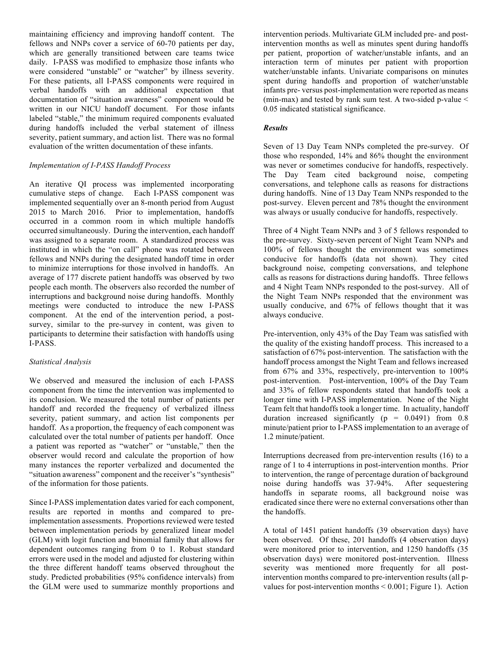maintaining efficiency and improving handoff content. The fellows and NNPs cover a service of 60-70 patients per day, which are generally transitioned between care teams twice daily. I-PASS was modified to emphasize those infants who were considered "unstable" or "watcher" by illness severity. For these patients, all I-PASS components were required in verbal handoffs with an additional expectation that documentation of "situation awareness" component would be written in our NICU handoff document. For those infants labeled "stable," the minimum required components evaluated during handoffs included the verbal statement of illness severity, patient summary, and action list. There was no formal evaluation of the written documentation of these infants.

## *Implementation of I-PASS Handoff Process*

An iterative QI process was implemented incorporating cumulative steps of change. Each I-PASS component was implemented sequentially over an 8-month period from August 2015 to March 2016. Prior to implementation, handoffs occurred in a common room in which multiple handoffs occurred simultaneously. During the intervention, each handoff was assigned to a separate room. A standardized process was instituted in which the "on call" phone was rotated between fellows and NNPs during the designated handoff time in order to minimize interruptions for those involved in handoffs. An average of 177 discrete patient handoffs was observed by two people each month. The observers also recorded the number of interruptions and background noise during handoffs. Monthly meetings were conducted to introduce the new I-PASS component. At the end of the intervention period, a postsurvey, similar to the pre-survey in content, was given to participants to determine their satisfaction with handoffs using I-PASS.

## *Statistical Analysis*

We observed and measured the inclusion of each I-PASS component from the time the intervention was implemented to its conclusion. We measured the total number of patients per handoff and recorded the frequency of verbalized illness severity, patient summary, and action list components per handoff. As a proportion, the frequency of each component was calculated over the total number of patients per handoff. Once a patient was reported as "watcher" or "unstable," then the observer would record and calculate the proportion of how many instances the reporter verbalized and documented the "situation awareness" component and the receiver's "synthesis" of the information for those patients.

Since I-PASS implementation dates varied for each component, results are reported in months and compared to preimplementation assessments. Proportions reviewed were tested between implementation periods by generalized linear model (GLM) with logit function and binomial family that allows for dependent outcomes ranging from 0 to 1. Robust standard errors were used in the model and adjusted for clustering within the three different handoff teams observed throughout the study. Predicted probabilities (95% confidence intervals) from the GLM were used to summarize monthly proportions and

intervention periods. Multivariate GLM included pre- and postintervention months as well as minutes spent during handoffs per patient, proportion of watcher/unstable infants, and an interaction term of minutes per patient with proportion watcher/unstable infants. Univariate comparisons on minutes spent during handoffs and proportion of watcher/unstable infants pre- versus post-implementation were reported as means (min-max) and tested by rank sum test. A two-sided p-value  $\leq$ 0.05 indicated statistical significance.

## *Results*

Seven of 13 Day Team NNPs completed the pre-survey. Of those who responded, 14% and 86% thought the environment was never or sometimes conducive for handoffs, respectively. The Day Team cited background noise, competing conversations, and telephone calls as reasons for distractions during handoffs. Nine of 13 Day Team NNPs responded to the post-survey. Eleven percent and 78% thought the environment was always or usually conducive for handoffs, respectively.

Three of 4 Night Team NNPs and 3 of 5 fellows responded to the pre-survey. Sixty-seven percent of Night Team NNPs and 100% of fellows thought the environment was sometimes conducive for handoffs (data not shown). They cited background noise, competing conversations, and telephone calls as reasons for distractions during handoffs. Three fellows and 4 Night Team NNPs responded to the post-survey. All of the Night Team NNPs responded that the environment was usually conducive, and 67% of fellows thought that it was always conducive.

Pre-intervention, only 43% of the Day Team was satisfied with the quality of the existing handoff process. This increased to a satisfaction of 67% post-intervention. The satisfaction with the handoff process amongst the Night Team and fellows increased from 67% and 33%, respectively, pre-intervention to 100% post-intervention. Post-intervention, 100% of the Day Team and 33% of fellow respondents stated that handoffs took a longer time with I-PASS implementation. None of the Night Team felt that handoffs took a longer time. In actuality, handoff duration increased significantly  $(p = 0.0491)$  from 0.8 minute/patient prior to I-PASS implementation to an average of 1.2 minute/patient.

Interruptions decreased from pre-intervention results (16) to a range of 1 to 4 interruptions in post-intervention months. Prior to intervention, the range of percentage duration of background noise during handoffs was 37-94%. After sequestering handoffs in separate rooms, all background noise was eradicated since there were no external conversations other than the handoffs.

A total of 1451 patient handoffs (39 observation days) have been observed. Of these, 201 handoffs (4 observation days) were monitored prior to intervention, and 1250 handoffs (35 observation days) were monitored post-intervention. Illness severity was mentioned more frequently for all postintervention months compared to pre-intervention results (all pvalues for post-intervention months < 0.001; Figure 1). Action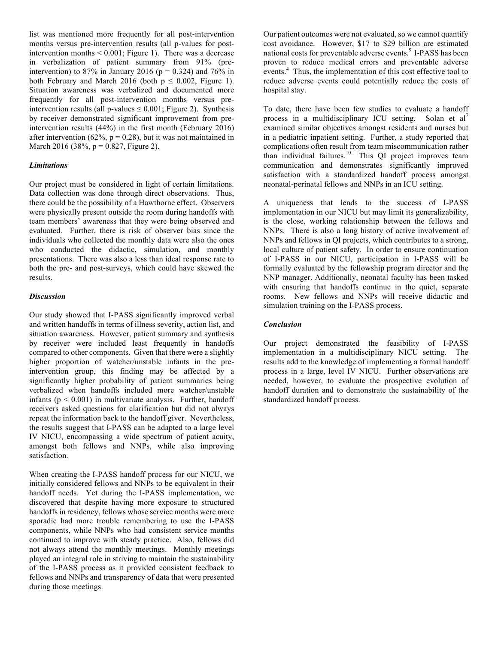list was mentioned more frequently for all post-intervention months versus pre-intervention results (all p-values for postintervention months < 0.001; Figure 1). There was a decrease in verbalization of patient summary from 91% (preintervention) to 87% in January 2016 ( $p = 0.324$ ) and 76% in both February and March 2016 (both  $p \le 0.002$ , Figure 1). Situation awareness was verbalized and documented more frequently for all post-intervention months versus preintervention results (all p-values  $\leq 0.001$ ; Figure 2). Synthesis by receiver demonstrated significant improvement from preintervention results (44%) in the first month (February 2016) after intervention (62%,  $p = 0.28$ ), but it was not maintained in March 2016 (38%,  $p = 0.827$ , Figure 2).

## *Limitations*

Our project must be considered in light of certain limitations. Data collection was done through direct observations. Thus, there could be the possibility of a Hawthorne effect. Observers were physically present outside the room during handoffs with team members' awareness that they were being observed and evaluated. Further, there is risk of observer bias since the individuals who collected the monthly data were also the ones who conducted the didactic, simulation, and monthly presentations. There was also a less than ideal response rate to both the pre- and post-surveys, which could have skewed the results.

## *Discussion*

Our study showed that I-PASS significantly improved verbal and written handoffs in terms of illness severity, action list, and situation awareness. However, patient summary and synthesis by receiver were included least frequently in handoffs compared to other components. Given that there were a slightly higher proportion of watcher/unstable infants in the preintervention group, this finding may be affected by a significantly higher probability of patient summaries being verbalized when handoffs included more watcher/unstable infants ( $p < 0.001$ ) in multivariate analysis. Further, handoff receivers asked questions for clarification but did not always repeat the information back to the handoff giver. Nevertheless, the results suggest that I-PASS can be adapted to a large level IV NICU, encompassing a wide spectrum of patient acuity, amongst both fellows and NNPs, while also improving satisfaction.

When creating the I-PASS handoff process for our NICU, we initially considered fellows and NNPs to be equivalent in their handoff needs. Yet during the I-PASS implementation, we discovered that despite having more exposure to structured handoffs in residency, fellows whose service months were more sporadic had more trouble remembering to use the I-PASS components, while NNPs who had consistent service months continued to improve with steady practice. Also, fellows did not always attend the monthly meetings. Monthly meetings played an integral role in striving to maintain the sustainability of the I-PASS process as it provided consistent feedback to fellows and NNPs and transparency of data that were presented during those meetings.

Our patient outcomes were not evaluated, so we cannot quantify cost avoidance. However, \$17 to \$29 billion are estimated national costs for preventable adverse events.<sup>9</sup> I-PASS has been proven to reduce medical errors and preventable adverse events.<sup>4</sup> Thus, the implementation of this cost effective tool to reduce adverse events could potentially reduce the costs of hospital stay.

To date, there have been few studies to evaluate a handoff process in a multidisciplinary ICU setting. Solan et al<sup>7</sup> examined similar objectives amongst residents and nurses but in a pediatric inpatient setting. Further, a study reported that complications often result from team miscommunication rather than individual failures.<sup>10</sup> This QI project improves team communication and demonstrates significantly improved satisfaction with a standardized handoff process amongst neonatal-perinatal fellows and NNPs in an ICU setting.

A uniqueness that lends to the success of I-PASS implementation in our NICU but may limit its generalizability, is the close, working relationship between the fellows and NNPs. There is also a long history of active involvement of NNPs and fellows in QI projects, which contributes to a strong, local culture of patient safety. In order to ensure continuation of I-PASS in our NICU, participation in I-PASS will be formally evaluated by the fellowship program director and the NNP manager. Additionally, neonatal faculty has been tasked with ensuring that handoffs continue in the quiet, separate rooms. New fellows and NNPs will receive didactic and simulation training on the I-PASS process.

## *Conclusion*

Our project demonstrated the feasibility of I-PASS implementation in a multidisciplinary NICU setting. The results add to the knowledge of implementing a formal handoff process in a large, level IV NICU. Further observations are needed, however, to evaluate the prospective evolution of handoff duration and to demonstrate the sustainability of the standardized handoff process.